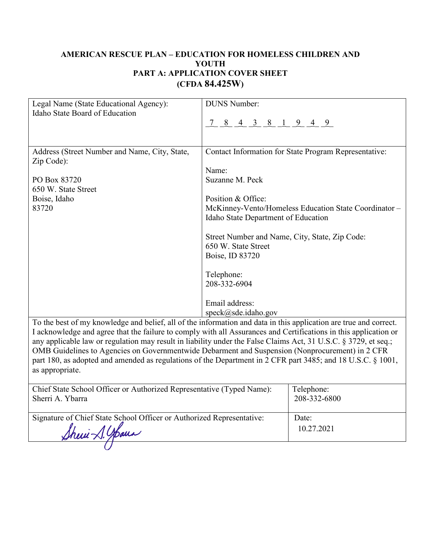## **AMERICAN RESCUE PLAN – EDUCATION FOR HOMELESS CHILDREN AND YOUTH PART A: APPLICATION COVER SHEET (CFDA 84.425W)**

| Legal Name (State Educational Agency):        | <b>DUNS Number:</b>                                                                                               |  |
|-----------------------------------------------|-------------------------------------------------------------------------------------------------------------------|--|
| Idaho State Board of Education                |                                                                                                                   |  |
|                                               | $\underline{7}$ 8 4 3 8 1 9 4 9                                                                                   |  |
|                                               |                                                                                                                   |  |
|                                               |                                                                                                                   |  |
| Address (Street Number and Name, City, State, | Contact Information for State Program Representative:                                                             |  |
| Zip Code):                                    |                                                                                                                   |  |
|                                               | Name:                                                                                                             |  |
| PO Box 83720                                  | Suzanne M. Peck                                                                                                   |  |
| 650 W. State Street                           |                                                                                                                   |  |
| Boise, Idaho                                  | Position & Office:                                                                                                |  |
| 83720                                         | McKinney-Vento/Homeless Education State Coordinator -                                                             |  |
|                                               | Idaho State Department of Education                                                                               |  |
|                                               |                                                                                                                   |  |
|                                               | Street Number and Name, City, State, Zip Code:                                                                    |  |
|                                               | 650 W. State Street                                                                                               |  |
|                                               | Boise, ID 83720                                                                                                   |  |
|                                               |                                                                                                                   |  |
|                                               | Telephone:                                                                                                        |  |
|                                               | 208-332-6904                                                                                                      |  |
|                                               |                                                                                                                   |  |
|                                               | Email address:                                                                                                    |  |
|                                               | $speck(\omega)$ sde.idaho.gov                                                                                     |  |
|                                               | To the best of my knowledge and belief, all of the information and data in this application are true and correct. |  |

To the best of my knowledge and belief, all of the information and data in this application are true and correct.<br>I acknowledge and agree that the failure to comply with all Assurances and Certifications in this applicatio any applicable law or regulation may result in liability under the False Claims Act, 31 U.S.C. § 3729, et seq.; OMB Guidelines to Agencies on Governmentwide Debarment and Suspension (Nonprocurement) in 2 CFR part 180, as adopted and amended as regulations of the Department in 2 CFR part 3485; and 18 U.S.C. § 1001, as appropriate.

| Chief State School Officer or Authorized Representative (Typed Name): | Telephone:   |
|-----------------------------------------------------------------------|--------------|
| Sherri A. Ybarra                                                      | 208-332-6800 |
| Signature of Chief State School Officer or Authorized Representative: | Date:        |
| Sheri A. Shana                                                        | 10.27.2021   |
|                                                                       |              |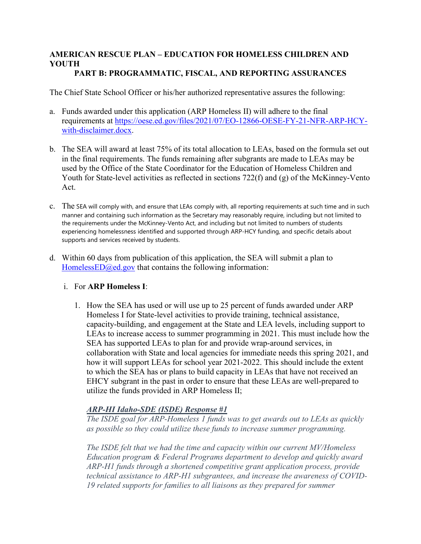#### **AMERICAN RESCUE PLAN – EDUCATION FOR HOMELESS CHILDREN AND YOUTH PART B: PROGRAMMATIC, FISCAL, AND REPORTING ASSURANCES**

The Chief State School Officer or his/her authorized representative assures the following:

- a. Funds awarded under this application (ARP Homeless II) will adhere to the final requirements at [https://oese.ed.gov/files/2021/07/EO-12866-OESE-FY-21-NFR-ARP-HCY](https://oese.ed.gov/files/2021/07/EO-12866-OESE-FY-21-NFR-ARP-HCY-with-disclaimer.docx)[with-disclaimer.docx.](https://oese.ed.gov/files/2021/07/EO-12866-OESE-FY-21-NFR-ARP-HCY-with-disclaimer.docx)
- b. The SEA will award at least 75% of its total allocation to LEAs, based on the formula set out in the final requirements. The funds remaining after subgrants are made to LEAs may be used by the Office of the State Coordinator for the Education of Homeless Children and Youth for State-level activities as reflected in sections 722(f) and (g) of the McKinney-Vento Act.
- c. The SEA will comply with, and ensure that LEAs comply with, all reporting requirements at such time and in such manner and containing such information as the Secretary may reasonably require, including but not limited to the requirements under the McKinney-Vento Act, and including but not limited to numbers of students experiencing homelessness identified and supported through ARP-HCY funding, and specific details about supports and services received by students.
- d. Within 60 days from publication of this application, the SEA will submit a plan to [HomelessED@ed.gov](mailto:HomelessED@ed.gov) that contains the following information:

## i. For **ARP Homeless I**:

1. How the SEA has used or will use up to 25 percent of funds awarded under ARP Homeless I for State-level activities to provide training, technical assistance, capacity-building, and engagement at the State and LEA levels, including support to LEAs to increase access to summer programming in 2021. This must include how the SEA has supported LEAs to plan for and provide wrap-around services, in collaboration with State and local agencies for immediate needs this spring 2021, and how it will support LEAs for school year 2021-2022. This should include the extent to which the SEA has or plans to build capacity in LEAs that have not received an EHCY subgrant in the past in order to ensure that these LEAs are well-prepared to utilize the funds provided in ARP Homeless II;

## *ARP-HI Idaho-SDE (ISDE) Response #1*

*The ISDE goal for ARP-Homeless 1 funds was to get awards out to LEAs as quickly as possible so they could utilize these funds to increase summer programming.*

*The ISDE felt that we had the time and capacity within our current MV/Homeless Education program & Federal Programs department to develop and quickly award ARP-H1 funds through a shortened competitive grant application process, provide technical assistance to ARP-H1 subgrantees, and increase the awareness of COVID-19 related supports for families to all liaisons as they prepared for summer*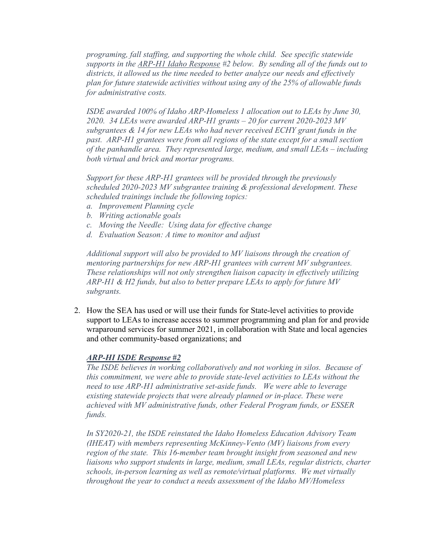*programing, fall staffing, and supporting the whole child. See specific statewide supports in the ARP-H1 Idaho Response #2 below. By sending all of the funds out to districts, it allowed us the time needed to better analyze our needs and effectively plan for future statewide activities without using any of the 25% of allowable funds for administrative costs.* 

 *subgrantees & 14 for new LEAs who had never received ECHY grant funds in the ISDE awarded 100% of Idaho ARP-Homeless 1 allocation out to LEAs by June 30, 2020. 34 LEAs were awarded ARP-H1 grants – 20 for current 2020-2023 MV past. ARP-H1 grantees were from all regions of the state except for a small section of the panhandle area. They represented large, medium, and small LEAs – including both virtual and brick and mortar programs.* 

 *scheduled trainings include the following topics: a. Improvement Planning cycle Support for these ARP-H1 grantees will be provided through the previously scheduled 2020-2023 MV subgrantee training & professional development. These* 

- 
- *b. Writing actionable goals*
- *c. Moving the Needle: Using data for effective change*
- *d. Evaluation Season: A time to monitor and adjust*

*Additional support will also be provided to MV liaisons through the creation of mentoring partnerships for new ARP-H1 grantees with current MV subgrantees. These relationships will not only strengthen liaison capacity in effectively utilizing ARP-H1 & H2 funds, but also to better prepare LEAs to apply for future MV subgrants.* 

2. How the SEA has used or will use their funds for State-level activities to provide support to LEAs to increase access to summer programming and plan for and provide wraparound services for summer 2021, in collaboration with State and local agencies and other community-based organizations; and

#### *ARP-HI ISDE Response #2*

*The ISDE believes in working collaboratively and not working in silos. Because of this commitment, we were able to provide state-level activities to LEAs without the need to use ARP-H1 administrative set-aside funds. We were able to leverage existing statewide projects that were already planned or in-place. These were achieved with MV administrative funds, other Federal Program funds, or ESSER funds.* 

 *schools, in-person learning as well as remote/virtual platforms. We met virtually In SY2020-21, the ISDE reinstated the Idaho Homeless Education Advisory Team (IHEAT) with members representing McKinney-Vento (MV) liaisons from every region of the state. This 16-member team brought insight from seasoned and new liaisons who support students in large, medium, small LEAs, regular districts, charter throughout the year to conduct a needs assessment of the Idaho MV/Homeless*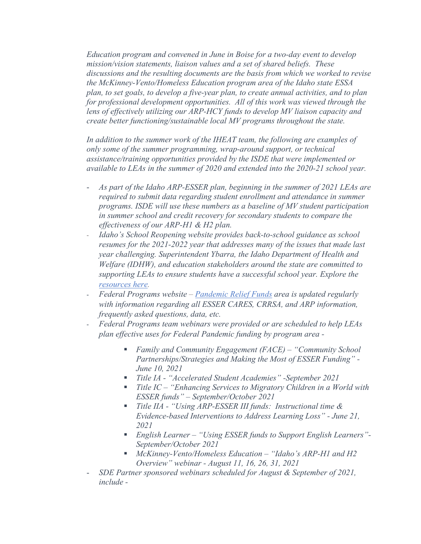*Education program and convened in June in Boise for a two-day event to develop mission/vision statements, liaison values and a set of shared beliefs. These discussions and the resulting documents are the basis from which we worked to revise the McKinney-Vento/Homeless Education program area of the Idaho state ESSA plan, to set goals, to develop a five-year plan, to create annual activities, and to plan*  for professional development opportunities. All of this work was viewed through the *lens of effectively utilizing our ARP-HCY funds to develop MV liaison capacity and create better functioning/sustainable local MV programs throughout the state.* 

*In addition to the summer work of the IHEAT team, the following are examples of only some of the summer programming, wrap-around support, or technical assistance/training opportunities provided by the ISDE that were implemented or available to LEAs in the summer of 2020 and extended into the 2020-21 school year.* 

- *As part of the Idaho ARP-ESSER plan, beginning in the summer of 2021 LEAs are required to submit data regarding student enrollment and attendance in summer programs. ISDE will use these numbers as a baseline of MV student participation in summer school and credit recovery for secondary students to compare the effectiveness of our ARP-H1 & H2 plan.*
- *Idaho's School Reopening website provides back-to-school guidance as school resumes for the 2021-2022 year that addresses many of the issues that made last year challenging. Superintendent Ybarra, the Idaho Department of Health and Welfare (IDHW), and education stakeholders around the state are committed to supporting LEAs to ensure students have a successful school year. Explore the [resources here.](https://protect-us.mimecast.com/s/m9s0CpYmo2IJWg7TGSsNG?domain=sde.idaho.gov)*
- *Federal Programs website – [Pandemic Relief Funds](https://www.sde.idaho.gov/federal-programs/prf/) area is updated regularly with information regarding all ESSER CARES, CRRSA, and ARP information, frequently asked questions, data, etc.*
- *Federal Programs team webinars were provided or are scheduled to help LEAs plan effective uses for Federal Pandemic funding by program area -*
	- *Family and Community Engagement (FACE) "Community School Partnerships/Strategies and Making the Most of ESSER Funding" - June 10, 2021*
	- *Title IA - "Accelerated Student Academies" -September 2021*
	- *Title IC "Enhancing Services to Migratory Children in a World with ESSER funds" – September/October 2021*
	- *Title IIA - "Using ARP-ESSER III funds: Instructional time & Evidence-based Interventions to Address Learning Loss" - June 21, 2021*
	- *English Learner "Using ESSER funds to Support English Learners"- September/October 2021*
	- *McKinney-Vento/Homeless Education "Idaho's ARP-H1 and H2 Overview" webinar - August 11, 16, 26, 31, 2021*
- *SDE Partner sponsored webinars scheduled for August & September of 2021, include -*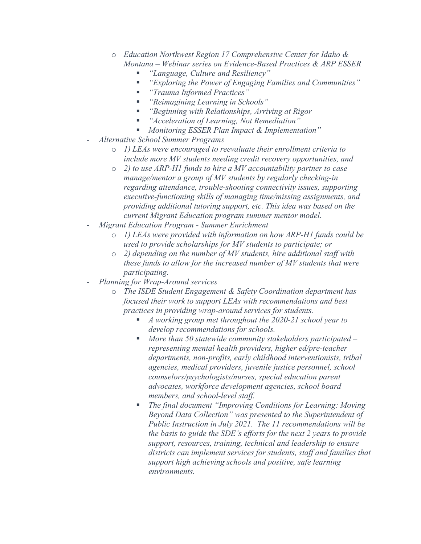- o *Education Northwest Region 17 Comprehensive Center for Idaho & Montana – Webinar series on Evidence-Based Practices & ARP ESSER* 
	- *"Language, Culture and Resiliency"*
	- *"Exploring the Power of Engaging Families and Communities"*
	- *"Trauma Informed Practices"*
	- *"Reimagining Learning in Schools"*
	- *"Beginning with Relationships, Arriving at Rigor*
	- *"Acceleration of Learning, Not Remediation"*
	- *Monitoring ESSER Plan Impact & Implementation"*
- *Alternative School Summer Programs* 
	- o *1) LEAs were encouraged to reevaluate their enrollment criteria to include more MV students needing credit recovery opportunities, and*
	- o *2) to use ARP-H1 funds to hire a MV accountability partner to case manage/mentor a group of MV students by regularly checking-in regarding attendance, trouble-shooting connectivity issues, supporting executive-functioning skills of managing time/missing assignments, and providing additional tutoring support, etc. This idea was based on the current Migrant Education program summer mentor model.*
- *Migrant Education Program Summer Enrichment* 
	- o *1) LEAs were provided with information on how ARP-H1 funds could be used to provide scholarships for MV students to participate; or*
	- o *2) depending on the number of MV students, hire additional staff with these funds to allow for the increased number of MV students that were participating.*
- *Planning for Wrap-Around services* 
	- o *The ISDE Student Engagement & Safety Coordination department has focused their work to support LEAs with recommendations and best practices in providing wrap-around services for students.* 
		- *A working group met throughout the 2020-21 school year to develop recommendations for schools.*
		- *More than 50 statewide community stakeholders participated representing mental health providers, higher ed/pre-teacher departments, non-profits, early childhood interventionists, tribal agencies, medical providers, juvenile justice personnel, school counselors/psychologists/nurses, special education parent advocates, workforce development agencies, school board members, and school-level staff.*
		- *The final document "Improving Conditions for Learning: Moving Beyond Data Collection" was presented to the Superintendent of Public Instruction in July 2021. The 11 recommendations will be the basis to guide the SDE's efforts for the next 2 years to provide support, resources, training, technical and leadership to ensure districts can implement services for students, staff and families that support high achieving schools and positive, safe learning environments.*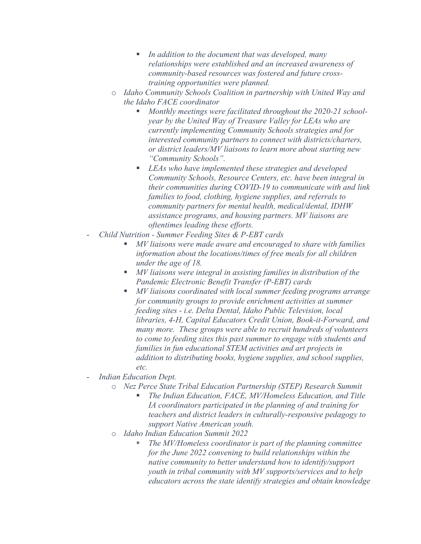- *In addition to the document that was developed, many relationships were established and an increased awareness of community-based resources was fostered and future crosstraining opportunities were planned.*
- o *Idaho Community Schools Coalition in partnership with United Way and the Idaho FACE coordinator*
	- *Monthly meetings were facilitated throughout the 2020-21 schoolyear by the United Way of Treasure Valley for LEAs who are currently implementing Community Schools strategies and for interested community partners to connect with districts/charters, or district leaders/MV liaisons to learn more about starting new "Community Schools".*
	- *LEAs who have implemented these strategies and developed Community Schools, Resource Centers, etc. have been integral in their communities during COVID-19 to communicate with and link families to food, clothing, hygiene supplies, and referrals to community partners for mental health, medical/dental, IDHW assistance programs, and housing partners. MV liaisons are oftentimes leading these efforts.*
- *Child Nutrition Summer Feeding Sites & P-EBT cards*
	- *MV liaisons were made aware and encouraged to share with families information about the locations/times of free meals for all children under the age of 18.*
	- *MV liaisons were integral in assisting families in distribution of the Pandemic Electronic Benefit Transfer (P-EBT) cards*
	- *MV liaisons coordinated with local summer feeding programs arrange for community groups to provide enrichment activities at summer feeding sites - i.e. Delta Dental, Idaho Public Television, local libraries, 4-H, Capital Educators Credit Union, Book-it-Forward, and many more. These groups were able to recruit hundreds of volunteers to come to feeding sites this past summer to engage with students and families in fun educational STEM activities and art projects in addition to distributing books, hygiene supplies, and school supplies, etc.*
- *Indian Education Dept.*
	- o *Nez Perce State Tribal Education Partnership (STEP) Research Summit*
		- *The Indian Education, FACE, MV/Homeless Education, and Title IA coordinators participated in the planning of and training for teachers and district leaders in culturally-responsive pedagogy to support Native American youth.*
	- o *Idaho Indian Education Summit 2022*
		- *The MV/Homeless coordinator is part of the planning committee for the June 2022 convening to build relationships within the native community to better understand how to identify/support youth in tribal community with MV supports/services and to help educators across the state identify strategies and obtain knowledge*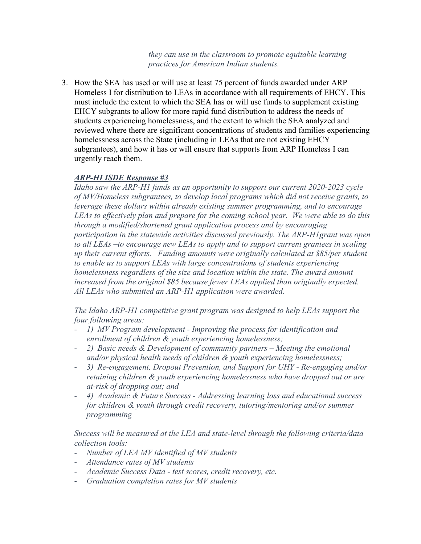*they can use in the classroom to promote equitable learning practices for American Indian students.* 

 homelessness across the State (including in LEAs that are not existing EHCY 3. How the SEA has used or will use at least 75 percent of funds awarded under ARP Homeless I for distribution to LEAs in accordance with all requirements of EHCY. This must include the extent to which the SEA has or will use funds to supplement existing EHCY subgrants to allow for more rapid fund distribution to address the needs of students experiencing homelessness, and the extent to which the SEA analyzed and reviewed where there are significant concentrations of students and families experiencing subgrantees), and how it has or will ensure that supports from ARP Homeless I can urgently reach them.

# *ARP-HI ISDE Response #3*

 *to all LEAs –to encourage new LEAs to apply and to support current grantees in scaling Idaho saw the ARP-H1 funds as an opportunity to support our current 2020-2023 cycle of MV/Homeless subgrantees, to develop local programs which did not receive grants, to leverage these dollars within already existing summer programming, and to encourage LEAs to effectively plan and prepare for the coming school year. We were able to do this through a modified/shortened grant application process and by encouraging participation in the statewide activities discussed previously. The ARP-H1grant was open up their current efforts. Funding amounts were originally calculated at \$85/per student to enable us to support LEAs with large concentrations of students experiencing homelessness regardless of the size and location within the state. The award amount increased from the original \$85 because fewer LEAs applied than originally expected. All LEAs who submitted an ARP-H1 application were awarded.*

*The Idaho ARP-H1 competitive grant program was designed to help LEAs support the four following areas:*

- *1) MV Program development Improving the process for identification and enrollment of children & youth experiencing homelessness;*
- *2) Basic needs & Development of community partners Meeting the emotional and/or physical health needs of children & youth experiencing homelessness;*
- *3) Re-engagement, Dropout Prevention, and Support for UHY - Re-engaging and/or retaining children & youth experiencing homelessness who have dropped out or are at-risk of dropping out; and*
- *4) Academic & Future Success Addressing learning loss and educational success for children & youth through credit recovery, tutoring/mentoring and/or summer programming*

*Success will be measured at the LEA and state-level through the following criteria/data collection tools:* 

- *Number of LEA MV identified of MV students*
- *Attendance rates of MV students*
- *Academic Success Data - test scores, credit recovery, etc.*
- *Graduation completion rates for MV students*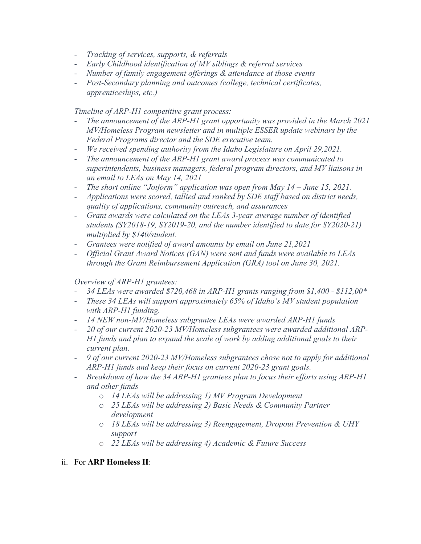- *Tracking of services, supports, & referrals*
- *Early Childhood identification of MV siblings & referral services*
- *Number of family engagement offerings & attendance at those events*
- *Post-Secondary planning and outcomes (college, technical certificates, apprenticeships, etc.)*

*Timeline of ARP-H1 competitive grant process:* 

- The announcement of the ARP-H1 grant opportunity was provided in the March 2021 *MV/Homeless Program newsletter and in multiple ESSER update webinars by the Federal Programs director and the SDE executive team.*
- *We received spending authority from the Idaho Legislature on April 29,2021.*
- *The announcement of the ARP-H1 grant award process was communicated to superintendents, business managers, federal program directors, and MV liaisons in an email to LEAs on May 14, 2021*
- *The short online "Jotform" application was open from May 14 June 15, 2021.*
- *Applications were scored, tallied and ranked by SDE staff based on district needs, quality of applications, community outreach, and assurances*
- *Grant awards were calculated on the LEAs 3-year average number of identified students (SY2018-19, SY2019-20, and the number identified to date for SY2020-21) multiplied by \$140/student.*
- *Grantees were notified of award amounts by email on June 21,2021*
- *Official Grant Award Notices (GAN) were sent and funds were available to LEAs through the Grant Reimbursement Application (GRA) tool on June 30, 2021.*

## *Overview of ARP-H1 grantees:*

- *34 LEAs were awarded \$720,468 in ARP-H1 grants ranging from \$1,400 \$112,00\**
- *These 34 LEAs will support approximately 65% of Idaho's MV student population with ARP-H1 funding.*
- *14 NEW non-MV/Homeless subgrantee LEAs were awarded ARP-H1 funds*
- *20 of our current 2020-23 MV/Homeless subgrantees were awarded additional ARP-H1 funds and plan to expand the scale of work by adding additional goals to their current plan.*
- *9 of our current 2020-23 MV/Homeless subgrantees chose not to apply for additional ARP-H1 funds and keep their focus on current 2020-23 grant goals.*
- *Breakdown of how the 34 ARP-H1 grantees plan to focus their efforts using ARP-H1 and other funds*
	- o *14 LEAs will be addressing 1) MV Program Development*
	- o *25 LEAs will be addressing 2) Basic Needs & Community Partner development*
	- o *18 LEAs will be addressing 3) Reengagement, Dropout Prevention & UHY support*
	- o *22 LEAs will be addressing 4) Academic & Future Success*

## ii. For **ARP Homeless II**: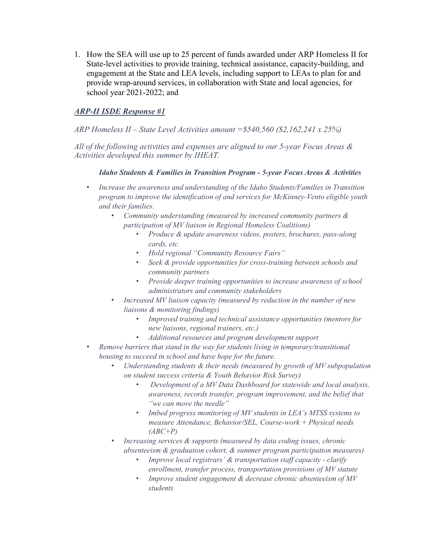1. How the SEA will use up to 25 percent of funds awarded under ARP Homeless II for State-level activities to provide training, technical assistance, capacity-building, and engagement at the State and LEA levels, including support to LEAs to plan for and provide wrap-around services, in collaboration with State and local agencies, for school year 2021-2022; and

# *ARP-II ISDE Response #1*

### *ARP Homeless II – State Level Activities amount =\$540,560 (\$2,162,241 x 25%)*

 *All of the following activities and expenses are aligned to our 5-year Focus Areas & Activities developed this summer by IHEAT.* 

#### *Idaho Students & Families in Transition Program - 5-year Focus Areas & Activities*

- Increase the awareness and understanding of the Idaho Students/Families in Transition *program to improve the identification of and services for McKinney-Vento eligible youth and their families.* 
	- *Community understanding (measured by increased community partners & participation of MV liaison in Regional Homeless Coalitions)* 
		- *Produce & update awareness videos, posters, brochures, pass-along cards, etc.*
		- *Hold regional "Community Resource Fairs"*
		- *Seek & provide opportunities for cross-training between schools and community partners*
		- *Provide deeper training opportunities to increase awareness of school administrators and community stakeholders*
	- *liaisons & monitoring findings)*  • *Increased MV liaison capacity (measured by reduction in the number of new* 
		- *Improved training and technical assistance opportunities (mentors for new liaisons, regional trainers, etc.)*
		- *Additional resources and program development support*
- *housing to succeed in school and have hope for the future.*  • *Remove barriers that stand in the way for students living in temporary/transitional* 
	- Understanding students & their needs (measured by growth of MV subpopulation *on student success criteria & Youth Behavior Risk Survey)* 
		- *Development of a MV Data Dashboard for statewide and local analysis, awareness, records transfer, program improvement, and the belief that "we can move the needle"*
		- *Imbed progress monitoring of MV students in LEA's MTSS systems to measure Attendance, Behavior/SEL, Course-work + Physical needs (ABC+P)*
	- *Increasing services & supports (measured by data coding issues, chronic absenteeism & graduation cohort, & summer program participation measures)* 
		- *Improve local registrars' & transportation staff capacity - clarify enrollment, transfer process, transportation provisions of MV statute*
		- *Improve student engagement & decrease chronic absenteeism of MV students*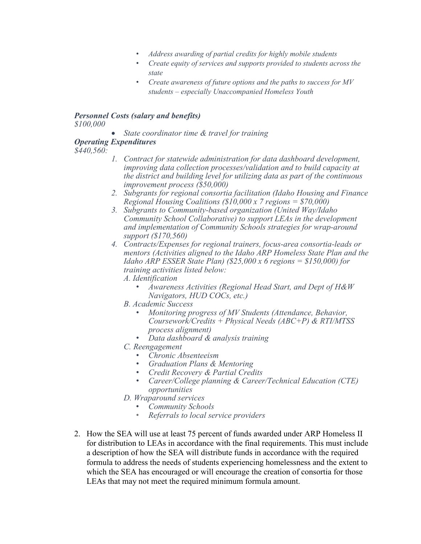- *Address awarding of partial credits for highly mobile students*
- *Create equity of services and supports provided to students across the state*
- *Create awareness of future options and the paths to success for MV students – especially Unaccompanied Homeless Youth*

# *Personnel Costs (salary and benefits)*

*\$100,000* 

• *State coordinator time & travel for training*

#### *Operating Expenditures*

 $$440.560:$ 

- *\$440,560: 1. Contract for statewide administration for data dashboard development, improving data collection processes/validation and to build capacity at the district and building level for utilizing data as part of the continuous improvement process (\$50,000)*
- *2. Subgrants for regional consortia facilitation (Idaho Housing and Finance Regional Housing Coalitions (\$10,000 x 7 regions = \$70,000)*
- *3. Subgrants to Community-based organization (United Way/Idaho Community School Collaborative) to support LEAs in the development and implementation of Community Schools strategies for wrap-around support (\$170,560)*
- *Idaho ARP ESSER State Plan) (\$25,000 x 6 regions = \$150,000) for 4. Contracts/Expenses for regional trainers, focus-area consortia-leads or mentors (Activities aligned to the Idaho ARP Homeless State Plan and the training activities listed below:*
	- *A. Identification*
		- *Awareness Activities (Regional Head Start, and Dept of H&W Navigators, HUD COCs, etc.)*
	- *B. Academic Success*
		- *Coursework/Credits + Physical Needs (ABC+P) & RTI/MTSS* • *Monitoring progress of MV Students (Attendance, Behavior, process alignment)*
		- *Data dashboard & analysis training*
	- *C. Reengagement*
		- *Chronic Absenteeism*
		- *Graduation Plans & Mentoring*
		- *Credit Recovery & Partial Credits*
		- *Career/College planning & Career/Technical Education (CTE) opportunities*
	- *D. Wraparound services*
		- *Community Schools*
		- *Referrals to local service providers*
- 2. How the SEA will use at least 75 percent of funds awarded under ARP Homeless II for distribution to LEAs in accordance with the final requirements. This must include a description of how the SEA will distribute funds in accordance with the required formula to address the needs of students experiencing homelessness and the extent to which the SEA has encouraged or will encourage the creation of consortia for those LEAs that may not meet the required minimum formula amount.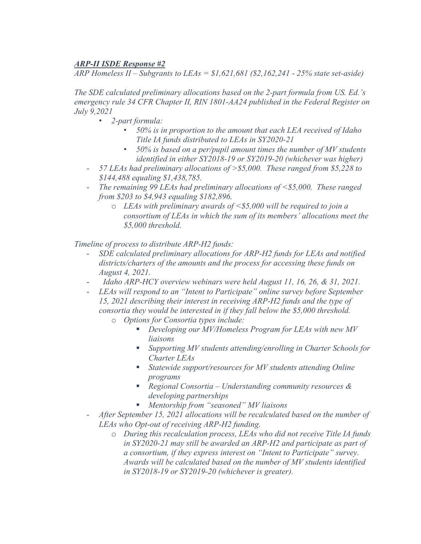# *ARP-II ISDE Response #2*

*ARP Homeless II – Subgrants to LEAs = \$1,621,681 (\$2,162,241 - 25% state set-aside)* 

*The SDE calculated preliminary allocations based on the 2-part formula from US. Ed.'s emergency rule 34 CFR Chapter II, RIN 1801-AA24 published in the Federal Register on July 9,2021* 

- *2-part formula:*
	- *50% is in proportion to the amount that each LEA received of Idaho Title IA funds distributed to LEAs in SY2020-21*
	- *50% is based on a per/pupil amount times the number of MV students identified in either SY2018-19 or SY2019-20 (whichever was higher)*
- *57 LEAs had preliminary allocations of >\$5,000. These ranged from \$5,228 to \$144,488 equaling \$1,438,785.*
- *The remaining 99 LEAs had preliminary allocations of <\$5,000. These ranged from \$203 to \$4,943 equaling \$182,896.*
	- o *LEAs with preliminary awards of <\$5,000 will be required to join a consortium of LEAs in which the sum of its members' allocations meet the \$5,000 threshold.*

*Timeline of process to distribute ARP-H2 funds:* 

- *SDE calculated preliminary allocations for ARP-H2 funds for LEAs and notified districts/charters of the amounts and the process for accessing these funds on August 4, 2021.*
- *Idaho ARP-HCY overview webinars were held August 11, 16, 26, & 31, 2021.*
- *LEAs will respond to an "Intent to Participate" online survey before September 15, 2021 describing their interest in receiving ARP-H2 funds and the type of consortia they would be interested in if they fall below the \$5,000 threshold.*
	- o *Options for Consortia types include:*
		- *Developing our MV/Homeless Program for LEAs with new MV liaisons*
		- *Supporting MV students attending/enrolling in Charter Schools for Charter LEAs*
		- *Statewide support/resources for MV students attending Online programs*
		- *Regional Consortia Understanding community resources & developing partnerships*
		- *Mentorship from "seasoned" MV liaisons*
- *After September 15, 2021 allocations will be recalculated based on the number of LEAs who Opt-out of receiving ARP-H2 funding.*
	- o *During this recalculation process, LEAs who did not receive Title IA funds in SY2020-21 may still be awarded an ARP-H2 and participate as part of a consortium, if they express interest on "Intent to Participate" survey. Awards will be calculated based on the number of MV students identified in SY2018-19 or SY2019-20 (whichever is greater).*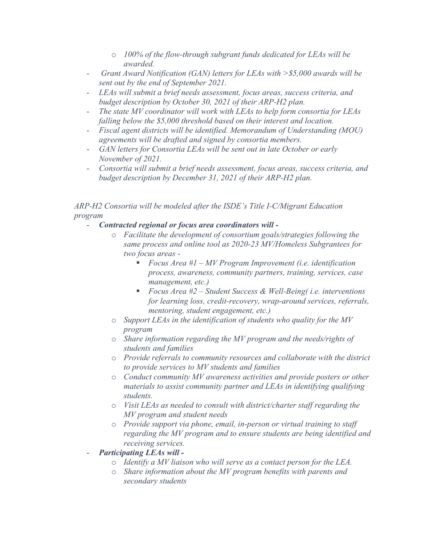- o *100% of the flow-through subgrant funds dedicated for LEAs will be awarded.*
- *Grant Award Notification (GAN) letters for LEAs with >\$5,000 awards will be sent out by the end of September 2021.*
- *LEAs will submit a brief needs assessment, focus areas, success criteria, and budget description by October 30, 2021 of their ARP-H2 plan.*
- The state MV coordinator will work with LEAs to help form consortia for LEAs *falling below the \$5,000 threshold based on their interest and location.*
- *Fiscal agent districts will be identified. Memorandum of Understanding (MOU) agreements will be drafted and signed by consortia members.*
- *GAN letters for Consortia LEAs will be sent out in late October or early November of 2021.*
- *Consortia will submit a brief needs assessment, focus areas, success criteria, and budget description by December 31, 2021 of their ARP-H2 plan.*

 *ARP-H2 Consortia will be modeled after the ISDE's Title I-C/Migrant Education program* 

- *Contracted regional or focus area coordinators will* 
	- o *Facilitate the development of consortium goals/strategies following the same process and online tool as 2020-23 MV/Homeless Subgrantees for two focus areas -*
		- *Focus Area #1 MV Program Improvement (i.e. identification process, awareness, community partners, training, services, case management, etc.)*
		- *Focus Area #2 Student Success & Well-Being( i.e. interventions for learning loss, credit-recovery, wrap-around services, referrals, mentoring, student engagement, etc.)*
	- o *Support LEAs in the identification of students who quality for the MV program*
	- o *Share information regarding the MV program and the needs/rights of students and families*
	- o *Provide referrals to community resources and collaborate with the district to provide services to MV students and families*
	- o *Conduct community MV awareness activities and provide posters or other materials to assist community partner and LEAs in identifying qualifying students.*
	- o *Visit LEAs as needed to consult with district/charter staff regarding the MV program and student needs*
	- o *Provide support via phone, email, in-person or virtual training to staff regarding the MV program and to ensure students are being identified and receiving services.*
- *Participating LEAs will* 
	- o *Identify a MV liaison who will serve as a contact person for the LEA.*
	- o *Share information about the MV program benefits with parents and secondary students*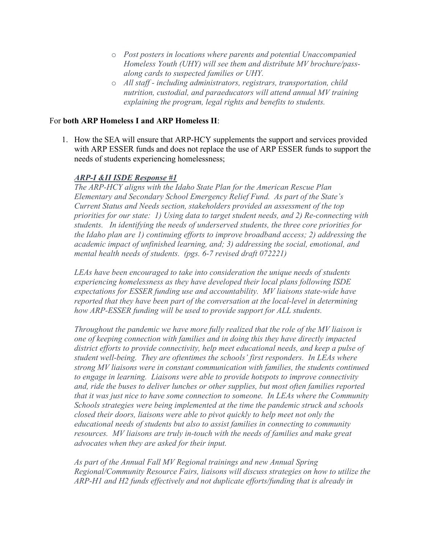- o *Post posters in locations where parents and potential Unaccompanied Homeless Youth (UHY) will see them and distribute MV brochure/passalong cards to suspected families or UHY.*
- o *All staff including administrators, registrars, transportation, child nutrition, custodial, and paraeducators will attend annual MV training explaining the program, legal rights and benefits to students.*

#### For **both ARP Homeless I and ARP Homeless II**:

1. How the SEA will ensure that ARP-HCY supplements the support and services provided with ARP ESSER funds and does not replace the use of ARP ESSER funds to support the needs of students experiencing homelessness;

#### *ARP-I &II ISDE Response #1*

*The ARP-HCY aligns with the Idaho State Plan for the American Rescue Plan Elementary and Secondary School Emergency Relief Fund. As part of the State's Current Status and Needs section, stakeholders provided an assessment of the top priorities for our state: 1) Using data to target student needs, and 2) Re-connecting with students. In identifying the needs of underserved students, the three core priorities for the Idaho plan are 1) continuing efforts to improve broadband access; 2) addressing the academic impact of unfinished learning, and; 3) addressing the social, emotional, and mental health needs of students. (pgs. 6-7 revised draft 072221)*

*LEAs have been encouraged to take into consideration the unique needs of students experiencing homelessness as they have developed their local plans following ISDE expectations for ESSER funding use and accountability. MV liaisons state-wide have reported that they have been part of the conversation at the local-level in determining how ARP-ESSER funding will be used to provide support for ALL students.*

 *resources. MV liaisons are truly in-touch with the needs of families and make great Throughout the pandemic we have more fully realized that the role of the MV liaison is one of keeping connection with families and in doing this they have directly impacted district efforts to provide connectivity, help meet educational needs, and keep a pulse of student well-being. They are oftentimes the schools' first responders. In LEAs where strong MV liaisons were in constant communication with families, the students continued to engage in learning. Liaisons were able to provide hotspots to improve connectivity and, ride the buses to deliver lunches or other supplies, but most often families reported that it was just nice to have some connection to someone. In LEAs where the Community Schools strategies were being implemented at the time the pandemic struck and schools closed their doors, liaisons were able to pivot quickly to help meet not only the educational needs of students but also to assist families in connecting to community advocates when they are asked for their input.*

*As part of the Annual Fall MV Regional trainings and new Annual Spring Regional/Community Resource Fairs, liaisons will discuss strategies on how to utilize the ARP-H1 and H2 funds effectively and not duplicate efforts/funding that is already in*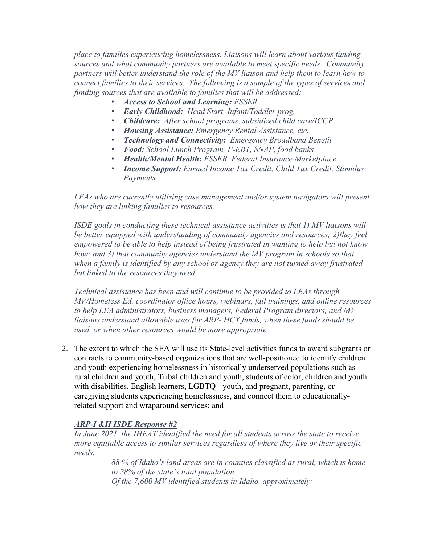*place to families experiencing homelessness. Liaisons will learn about various funding sources and what community partners are available to meet specific needs. Community partners will better understand the role of the MV liaison and help them to learn how to connect families to their services. The following is a sample of the types of services and funding sources that are available to families that will be addressed:* 

- *Access to School and Learning: ESSER*
- *Early Childhood: Head Start, Infant/Toddler prog.*
- *Childcare: After school programs, subsidized child care/ICCP*
- *Housing Assistance: Emergency Rental Assistance, etc.*
- *Technology and Connectivity: Emergency Broadband Benefit*
- *Food: School Lunch Program, P-EBT, SNAP, food banks*
- *Health/Mental Health: ESSER, Federal Insurance Marketplace*
- *Income Support: Earned Income Tax Credit, Child Tax Credit, Stimulus Payments*

*LEAs who are currently utilizing case management and/or system navigators will present how they are linking families to resources.* 

but linked to the resources they need. *ISDE goals in conducting these technical assistance activities is that 1) MV liaisons will be better equipped with understanding of community agencies and resources; 2)they feel empowered to be able to help instead of being frustrated in wanting to help but not know how; and 3) that community agencies understand the MV program in schools so that when a family is identified by any school or agency they are not turned away frustrated* 

*Fechnical assistance has been and will continue to be provided to LEAs through MV/Homeless Ed. coordinator office hours, webinars, fall trainings, and online resources to help LEA administrators, business managers, Federal Program directors, and MV liaisons understand allowable uses for ARP- HCY funds, when these funds should be used, or when other resources would be more appropriate.* 

2. The extent to which the SEA will use its State-level activities funds to award subgrants or contracts to community-based organizations that are well-positioned to identify children and youth experiencing homelessness in historically underserved populations such as rural children and youth, Tribal children and youth, students of color, children and youth with disabilities, English learners, LGBTQ+ youth, and pregnant, parenting, or caregiving students experiencing homelessness, and connect them to educationallyrelated support and wraparound services; and

# *ARP-I &II ISDE Response #2*

*In June 2021, the IHEAT identified the need for all students across the state to receive more equitable access to similar services regardless of where they live or their specific needs.*

- *88 % of Idaho's land areas are in counties classified as rural, which is home to 28% of the state's total population.*
- *Of the 7,600 MV identified students in Idaho, approximately:*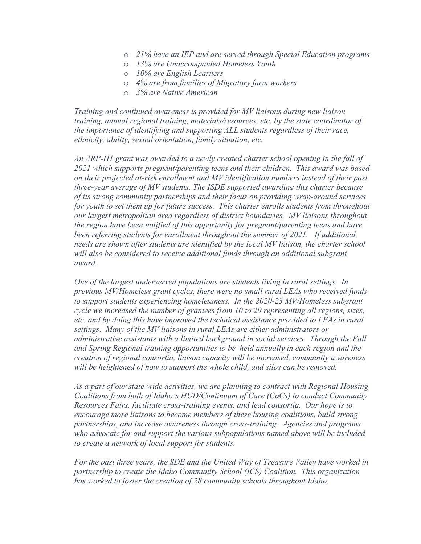- o *21% have an IEP and are served through Special Education programs*
- o *13% are Unaccompanied Homeless Youth*
- o *10% are English Learners*
- o *4% are from families of Migratory farm workers*
- o *3% are Native American*

*Training and continued awareness is provided for MV liaisons during new liaison training, annual regional training, materials/resources, etc. by the state coordinator of the importance of identifying and supporting ALL students regardless of their race, ethnicity, ability, sexual orientation, family situation, etc.* 

*An ARP-H1 grant was awarded to a newly created charter school opening in the fall of 2021 which supports pregnant/parenting teens and their children. This award was based on their projected at-risk enrollment and MV identification numbers instead of their past three-year average of MV students. The ISDE supported awarding this charter because of its strong community partnerships and their focus on providing wrap-around services for youth to set them up for future success. This charter enrolls students from throughout our largest metropolitan area regardless of district boundaries. MV liaisons throughout the region have been notified of this opportunity for pregnant/parenting teens and have been referring students for enrollment throughout the summer of 2021. If additional needs are shown after students are identified by the local MV liaison, the charter school*  will also be considered to receive additional funds through an additional subgrant *award.* 

 *settings. Many of the MV liaisons in rural LEAs are either administrators or and Spring Regional training opportunities to be held annually in each region and the One of the largest underserved populations are students living in rural settings. In previous MV/Homeless grant cycles, there were no small rural LEAs who received funds to support students experiencing homelessness. In the 2020-23 MV/Homeless subgrant cycle we increased the number of grantees from 10 to 29 representing all regions, sizes, etc. and by doing this have improved the technical assistance provided to LEAs in rural administrative assistants with a limited background in social services. Through the Fall creation of regional consortia, liaison capacity will be increased, community awareness will be heightened of how to support the whole child, and silos can be removed.* 

*As a part of our state-wide activities, we are planning to contract with Regional Housing Coalitions from both of Idaho's HUD/Continuum of Care (CoCs) to conduct Community Resources Fairs, facilitate cross-training events, and lead consortia. Our hope is to encourage more liaisons to become members of these housing coalitions, build strong partnerships, and increase awareness through cross-training. Agencies and programs who advocate for and support the various subpopulations named above will be included to create a network of local support for students.* 

*For the past three years, the SDE and the United Way of Treasure Valley have worked in partnership to create the Idaho Community School (ICS) Coalition. This organization has worked to foster the creation of 28 community schools throughout Idaho.*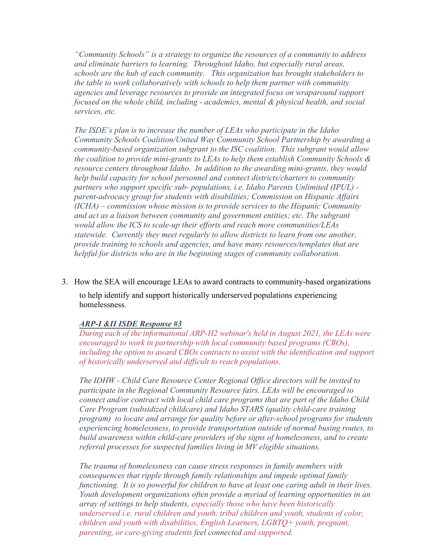services, etc. *"Community Schools" is a strategy to organize the resources of a community to address and eliminate barriers to learning. Throughout Idaho, but especially rural areas, schools are the hub of each community. This organization has brought stakeholders to the table to work collaboratively with schools to help them partner with community agencies and leverage resources to provide an integrated focus on wraparound support focused on the whole child, including - academics, mental & physical health, and social* 

 *(ICHA) – commission whose mission is to provide services to the Hispanic Community The ISDE's plan is to increase the number of LEAs who participate in the Idaho Community Schools Coalition/United Way Community School Partnership by awarding a community-based organization subgrant to the ISC coalition. This subgrant would allow the coalition to provide mini-grants to LEAs to help them establish Community Schools & resource centers throughout Idaho. In addition to the awarding mini-grants, they would help build capacity for school personnel and connect districts/charters to community partners who support specific sub- populations, i.e. Idaho Parents Unlimited (IPUL) parent-advocacy group for students with disabilities; Commission on Hispanic Affairs and act as a liaison between community and government entities; etc. The subgrant would allow the ICS to scale-up their efforts and reach more communities/LEAs statewide. Currently they meet regularly to allow districts to learn from one another, provide training to schools and agencies, and have many resources/templates that are helpful for districts who are in the beginning stages of community collaboration.* 

3. How the SEA will encourage LEAs to award contracts to community-based organizations

to help identify and support historically underserved populations experiencing homelessness.

#### *ARP-I &II ISDE Response #3*

*During each of the informational ARP-H2 webinar's held in August 2021, the LEAs were encouraged to work in partnership with local community based programs (CBOs), including the option to award CBOs contracts to assist with the identification and support of historically underserved and difficult to reach populations.*

 *referral processes for suspected families living in MV eligible situations. The IDHW - Child Care Resource Center Regional Office directors will be invited to participate in the Regional Community Resource fairs. LEAs will be encouraged to connect and/or contract with local child care programs that are part of the Idaho Child Care Program (subsidized childcare) and Idaho STARS (quality child-care training program) to locate and arrange for quality before or after-school programs for students experiencing homelessness, to provide transportation outside of normal busing routes, to build awareness within child-care providers of the signs of homelessness, and to create* 

*The trauma of homelessness can cause stress responses in family members with consequences that ripple through family relationships and impede optimal family functioning. It is so powerful for children to have at least one caring adult in their lives. Youth development organizations often provide a myriad of learning opportunities in an array of settings to help students, especially those who have been historically underserved i.e. rural children and youth, tribal children and youth, students of color, children and youth with disabilities, English Learners, LGBTQ+ youth, pregnant, parenting, or care-giving students feel connected and supported.*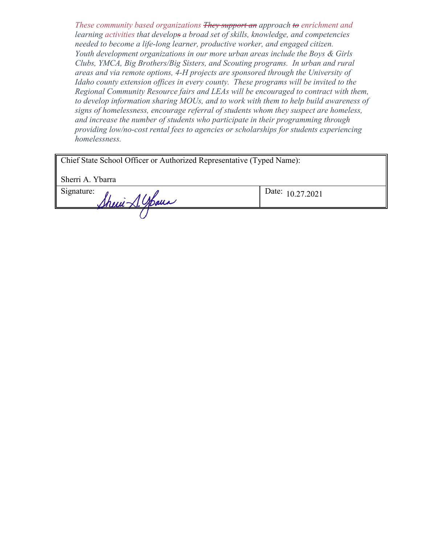*These community based organizations They support an approach to enrichment and learning activities that develops a broad set of skills, knowledge, and competencies needed to become a life-long learner, productive worker, and engaged citizen. Youth development organizations in our more urban areas include the Boys & Girls Clubs, YMCA, Big Brothers/Big Sisters, and Scouting programs. In urban and rural areas and via remote options, 4-H projects are sponsored through the University of Idaho county extension offices in every county. These programs will be invited to the Regional Community Resource fairs and LEAs will be encouraged to contract with them, to develop information sharing MOUs, and to work with them to help build awareness of signs of homelessness, encourage referral of students whom they suspect are homeless, and increase the number of students who participate in their programming through providing low/no-cost rental fees to agencies or scholarships for students experiencing homelessness.* 

| Chief State School Officer or Authorized Representative (Typed Name): |  |  |
|-----------------------------------------------------------------------|--|--|
|                                                                       |  |  |

Sherri A. Ybarra

Signature:  $\int h \mu \mu \rightarrow 0$ .  $\int h \mu \mu$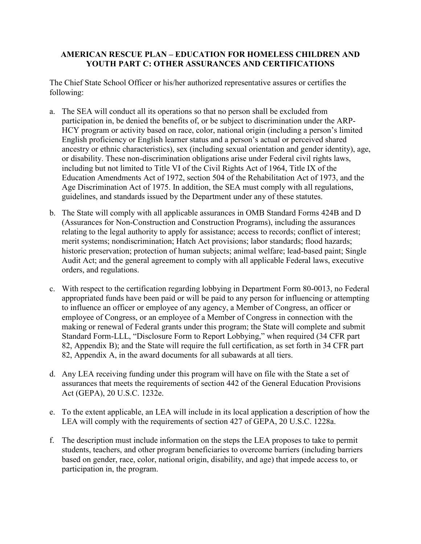## **AMERICAN RESCUE PLAN – EDUCATION FOR HOMELESS CHILDREN AND YOUTH PART C: OTHER ASSURANCES AND CERTIFICATIONS**

The Chief State School Officer or his/her authorized representative assures or certifies the following:

- including but not limited to Title VI of the Civil Rights Act of 1964, Title IX of the a. The SEA will conduct all its operations so that no person shall be excluded from participation in, be denied the benefits of, or be subject to discrimination under the ARP-HCY program or activity based on race, color, national origin (including a person's limited English proficiency or English learner status and a person's actual or perceived shared ancestry or ethnic characteristics), sex (including sexual orientation and gender identity), age, or disability. These non-discrimination obligations arise under Federal civil rights laws, Education Amendments Act of 1972, section 504 of the Rehabilitation Act of 1973, and the Age Discrimination Act of 1975. In addition, the SEA must comply with all regulations, guidelines, and standards issued by the Department under any of these statutes.
- b. The State will comply with all applicable assurances in OMB Standard Forms 424B and D (Assurances for Non-Construction and Construction Programs), including the assurances relating to the legal authority to apply for assistance; access to records; conflict of interest; merit systems; nondiscrimination; Hatch Act provisions; labor standards; flood hazards; historic preservation; protection of human subjects; animal welfare; lead-based paint; Single Audit Act; and the general agreement to comply with all applicable Federal laws, executive orders, and regulations.
- appropriated funds have been paid or will be paid to any person for influencing or attempting making or renewal of Federal grants under this program; the State will complete and submit c. With respect to the certification regarding lobbying in Department Form 80-0013, no Federal to influence an officer or employee of any agency, a Member of Congress, an officer or employee of Congress, or an employee of a Member of Congress in connection with the Standard Form-LLL, "Disclosure Form to Report Lobbying," when required (34 CFR part 82, Appendix B); and the State will require the full certification, as set forth in 34 CFR part 82, Appendix A, in the award documents for all subawards at all tiers.
- d. Any LEA receiving funding under this program will have on file with the State a set of assurances that meets the requirements of section 442 of the General Education Provisions Act (GEPA), 20 U.S.C. 1232e.
- e. To the extent applicable, an LEA will include in its local application a description of how the LEA will comply with the requirements of section 427 of GEPA, 20 U.S.C. 1228a.
- f. The description must include information on the steps the LEA proposes to take to permit students, teachers, and other program beneficiaries to overcome barriers (including barriers based on gender, race, color, national origin, disability, and age) that impede access to, or participation in, the program.